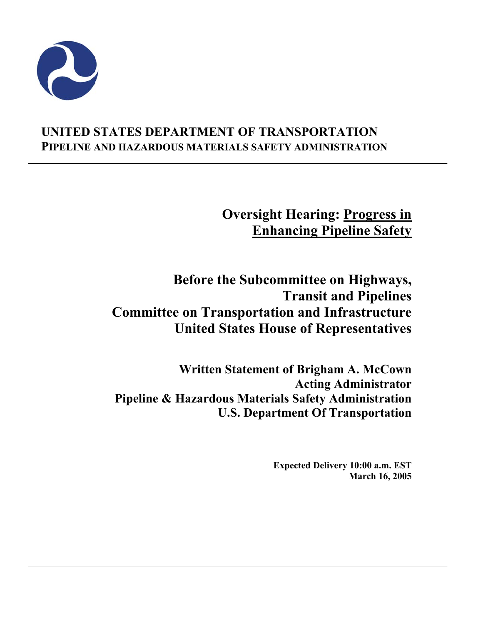

# **UNITED STATES DEPARTMENT OF TRANSPORTATION PIPELINE AND HAZARDOUS MATERIALS SAFETY ADMINISTRATION**

**Oversight Hearing: Progress in Enhancing Pipeline Safety**

**Before the Subcommittee on Highways, Transit and Pipelines Committee on Transportation and Infrastructure United States House of Representatives** 

**Written Statement of Brigham A. McCown Acting Administrator Pipeline & Hazardous Materials Safety Administration U.S. Department Of Transportation** 

> **Expected Delivery 10:00 a.m. EST March 16, 2005**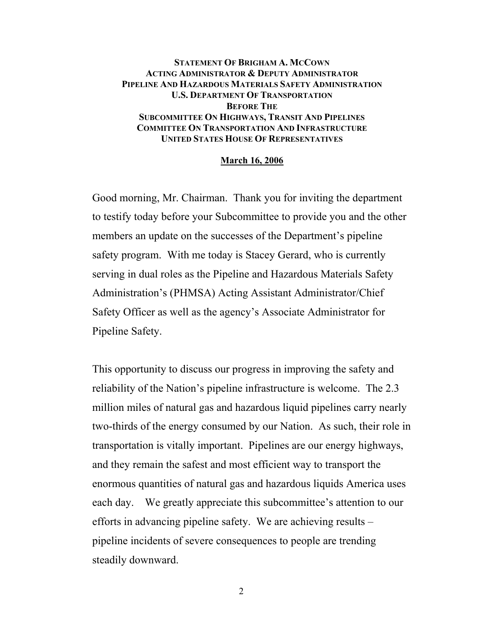#### **STATEMENT OF BRIGHAM A. MCCOWN ACTING ADMINISTRATOR & DEPUTY ADMINISTRATOR PIPELINE AND HAZARDOUS MATERIALS SAFETY ADMINISTRATION U.S. DEPARTMENT OF TRANSPORTATION BEFORE THE SUBCOMMITTEE ON HIGHWAYS, TRANSIT AND PIPELINES COMMITTEE ON TRANSPORTATION AND INFRASTRUCTURE UNITED STATES HOUSE OF REPRESENTATIVES**

#### **March 16, 2006**

Good morning, Mr. Chairman. Thank you for inviting the department to testify today before your Subcommittee to provide you and the other members an update on the successes of the Department's pipeline safety program. With me today is Stacey Gerard, who is currently serving in dual roles as the Pipeline and Hazardous Materials Safety Administration's (PHMSA) Acting Assistant Administrator/Chief Safety Officer as well as the agency's Associate Administrator for Pipeline Safety.

This opportunity to discuss our progress in improving the safety and reliability of the Nation's pipeline infrastructure is welcome. The 2.3 million miles of natural gas and hazardous liquid pipelines carry nearly two-thirds of the energy consumed by our Nation. As such, their role in transportation is vitally important. Pipelines are our energy highways, and they remain the safest and most efficient way to transport the enormous quantities of natural gas and hazardous liquids America uses each day. We greatly appreciate this subcommittee's attention to our efforts in advancing pipeline safety. We are achieving results – pipeline incidents of severe consequences to people are trending steadily downward.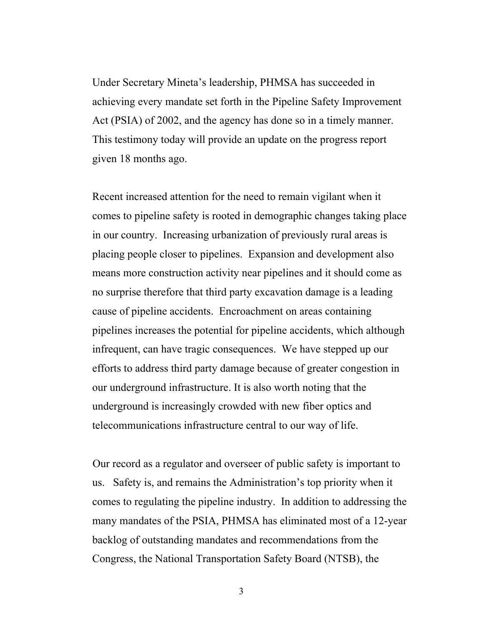Under Secretary Mineta's leadership, PHMSA has succeeded in achieving every mandate set forth in the Pipeline Safety Improvement Act (PSIA) of 2002, and the agency has done so in a timely manner. This testimony today will provide an update on the progress report given 18 months ago.

Recent increased attention for the need to remain vigilant when it comes to pipeline safety is rooted in demographic changes taking place in our country. Increasing urbanization of previously rural areas is placing people closer to pipelines. Expansion and development also means more construction activity near pipelines and it should come as no surprise therefore that third party excavation damage is a leading cause of pipeline accidents. Encroachment on areas containing pipelines increases the potential for pipeline accidents, which although infrequent, can have tragic consequences. We have stepped up our efforts to address third party damage because of greater congestion in our underground infrastructure. It is also worth noting that the underground is increasingly crowded with new fiber optics and telecommunications infrastructure central to our way of life.

Our record as a regulator and overseer of public safety is important to us. Safety is, and remains the Administration's top priority when it comes to regulating the pipeline industry. In addition to addressing the many mandates of the PSIA, PHMSA has eliminated most of a 12-year backlog of outstanding mandates and recommendations from the Congress, the National Transportation Safety Board (NTSB), the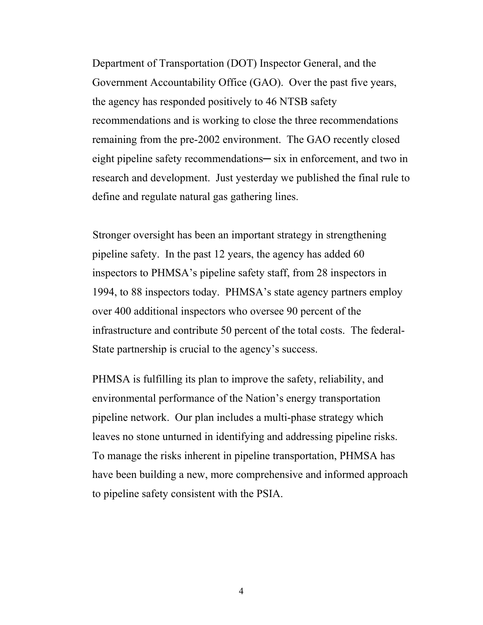Department of Transportation (DOT) Inspector General, and the Government Accountability Office (GAO). Over the past five years, the agency has responded positively to 46 NTSB safety recommendations and is working to close the three recommendations remaining from the pre-2002 environment. The GAO recently closed eight pipeline safety recommendations— six in enforcement, and two in research and development. Just yesterday we published the final rule to define and regulate natural gas gathering lines.

Stronger oversight has been an important strategy in strengthening pipeline safety. In the past 12 years, the agency has added 60 inspectors to PHMSA's pipeline safety staff, from 28 inspectors in 1994, to 88 inspectors today. PHMSA's state agency partners employ over 400 additional inspectors who oversee 90 percent of the infrastructure and contribute 50 percent of the total costs. The federal-State partnership is crucial to the agency's success.

PHMSA is fulfilling its plan to improve the safety, reliability, and environmental performance of the Nation's energy transportation pipeline network. Our plan includes a multi-phase strategy which leaves no stone unturned in identifying and addressing pipeline risks. To manage the risks inherent in pipeline transportation, PHMSA has have been building a new, more comprehensive and informed approach to pipeline safety consistent with the PSIA.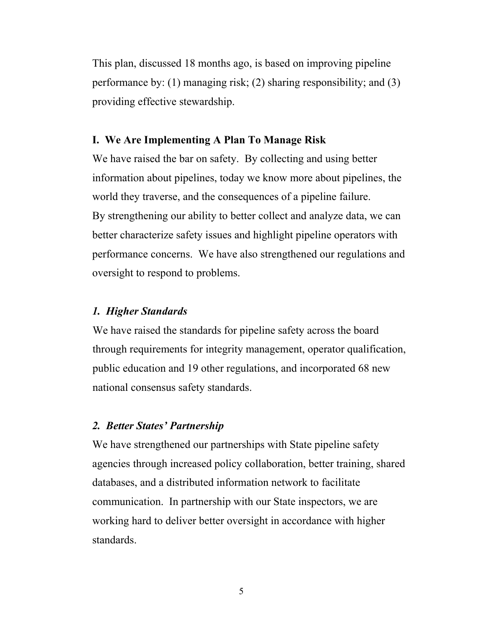This plan, discussed 18 months ago, is based on improving pipeline performance by: (1) managing risk; (2) sharing responsibility; and (3) providing effective stewardship.

### **I. We Are Implementing A Plan To Manage Risk**

We have raised the bar on safety. By collecting and using better information about pipelines, today we know more about pipelines, the world they traverse, and the consequences of a pipeline failure. By strengthening our ability to better collect and analyze data, we can better characterize safety issues and highlight pipeline operators with performance concerns. We have also strengthened our regulations and oversight to respond to problems.

#### *1. Higher Standards*

We have raised the standards for pipeline safety across the board through requirements for integrity management, operator qualification, public education and 19 other regulations, and incorporated 68 new national consensus safety standards.

### *2. Better States' Partnership*

We have strengthened our partnerships with State pipeline safety agencies through increased policy collaboration, better training, shared databases, and a distributed information network to facilitate communication. In partnership with our State inspectors, we are working hard to deliver better oversight in accordance with higher standards.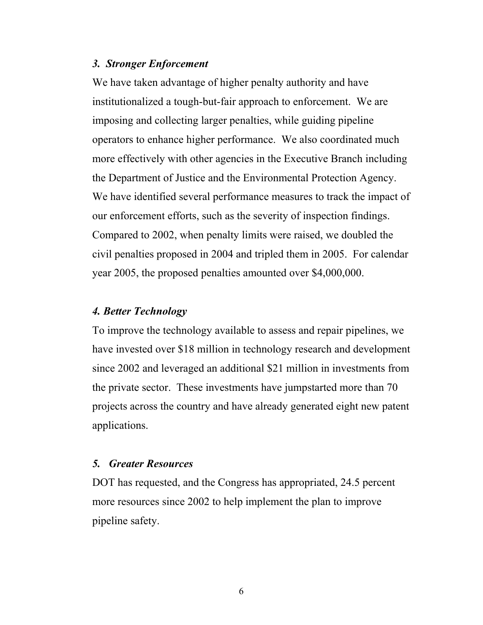#### *3. Stronger Enforcement*

We have taken advantage of higher penalty authority and have institutionalized a tough-but-fair approach to enforcement. We are imposing and collecting larger penalties, while guiding pipeline operators to enhance higher performance. We also coordinated much more effectively with other agencies in the Executive Branch including the Department of Justice and the Environmental Protection Agency. We have identified several performance measures to track the impact of our enforcement efforts, such as the severity of inspection findings. Compared to 2002, when penalty limits were raised, we doubled the civil penalties proposed in 2004 and tripled them in 2005. For calendar year 2005, the proposed penalties amounted over \$4,000,000.

### *4. Better Technology*

To improve the technology available to assess and repair pipelines, we have invested over \$18 million in technology research and development since 2002 and leveraged an additional \$21 million in investments from the private sector. These investments have jumpstarted more than 70 projects across the country and have already generated eight new patent applications.

### *5. Greater Resources*

DOT has requested, and the Congress has appropriated, 24.5 percent more resources since 2002 to help implement the plan to improve pipeline safety.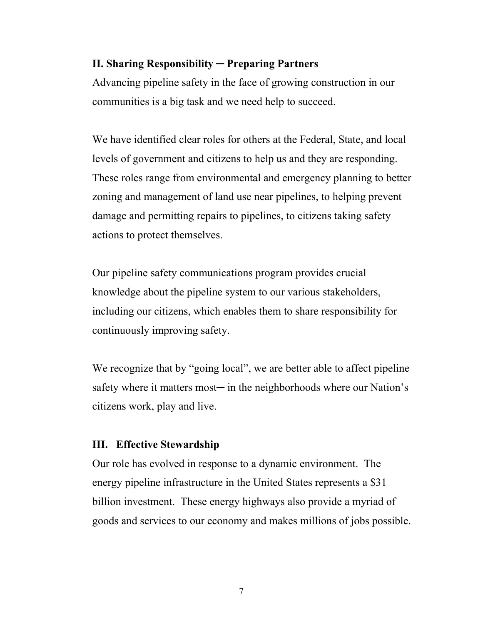### **II. Sharing Responsibility ─ Preparing Partners**

Advancing pipeline safety in the face of growing construction in our communities is a big task and we need help to succeed.

We have identified clear roles for others at the Federal, State, and local levels of government and citizens to help us and they are responding. These roles range from environmental and emergency planning to better zoning and management of land use near pipelines, to helping prevent damage and permitting repairs to pipelines, to citizens taking safety actions to protect themselves.

Our pipeline safety communications program provides crucial knowledge about the pipeline system to our various stakeholders, including our citizens, which enables them to share responsibility for continuously improving safety.

We recognize that by "going local", we are better able to affect pipeline safety where it matters most— in the neighborhoods where our Nation's citizens work, play and live.

### **III. Effective Stewardship**

Our role has evolved in response to a dynamic environment. The energy pipeline infrastructure in the United States represents a \$31 billion investment. These energy highways also provide a myriad of goods and services to our economy and makes millions of jobs possible.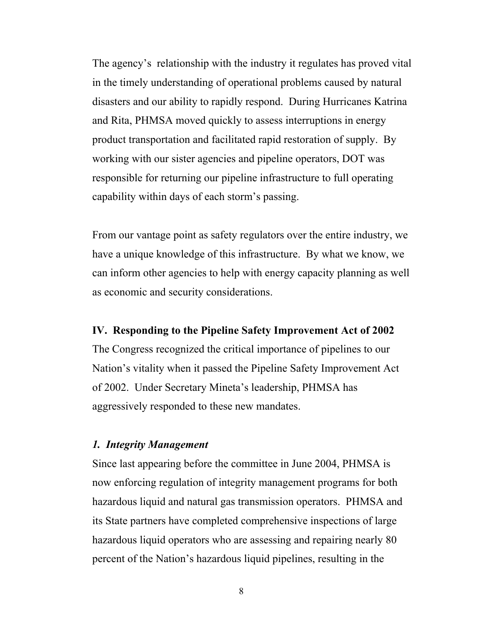The agency's relationship with the industry it regulates has proved vital in the timely understanding of operational problems caused by natural disasters and our ability to rapidly respond. During Hurricanes Katrina and Rita, PHMSA moved quickly to assess interruptions in energy product transportation and facilitated rapid restoration of supply. By working with our sister agencies and pipeline operators, DOT was responsible for returning our pipeline infrastructure to full operating capability within days of each storm's passing.

From our vantage point as safety regulators over the entire industry, we have a unique knowledge of this infrastructure. By what we know, we can inform other agencies to help with energy capacity planning as well as economic and security considerations.

#### **IV. Responding to the Pipeline Safety Improvement Act of 2002**

The Congress recognized the critical importance of pipelines to our Nation's vitality when it passed the Pipeline Safety Improvement Act of 2002. Under Secretary Mineta's leadership, PHMSA has aggressively responded to these new mandates.

### *1. Integrity Management*

Since last appearing before the committee in June 2004, PHMSA is now enforcing regulation of integrity management programs for both hazardous liquid and natural gas transmission operators. PHMSA and its State partners have completed comprehensive inspections of large hazardous liquid operators who are assessing and repairing nearly 80 percent of the Nation's hazardous liquid pipelines, resulting in the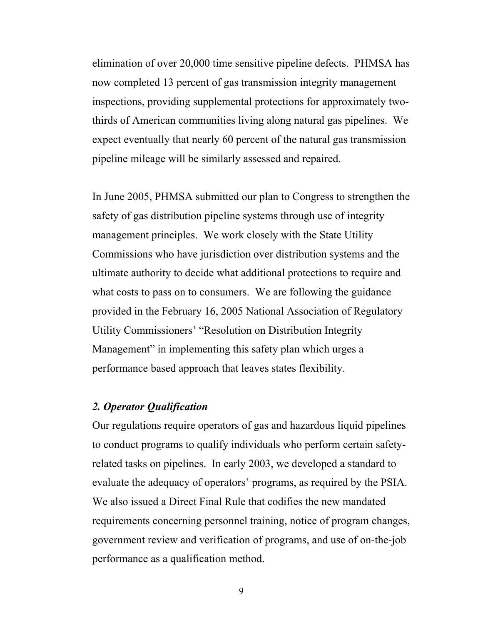elimination of over 20,000 time sensitive pipeline defects. PHMSA has now completed 13 percent of gas transmission integrity management inspections, providing supplemental protections for approximately twothirds of American communities living along natural gas pipelines. We expect eventually that nearly 60 percent of the natural gas transmission pipeline mileage will be similarly assessed and repaired.

In June 2005, PHMSA submitted our plan to Congress to strengthen the safety of gas distribution pipeline systems through use of integrity management principles. We work closely with the State Utility Commissions who have jurisdiction over distribution systems and the ultimate authority to decide what additional protections to require and what costs to pass on to consumers. We are following the guidance provided in the February 16, 2005 National Association of Regulatory Utility Commissioners' "Resolution on Distribution Integrity Management" in implementing this safety plan which urges a performance based approach that leaves states flexibility.

# *2. Operator Qualification*

Our regulations require operators of gas and hazardous liquid pipelines to conduct programs to qualify individuals who perform certain safetyrelated tasks on pipelines. In early 2003, we developed a standard to evaluate the adequacy of operators' programs, as required by the PSIA. We also issued a Direct Final Rule that codifies the new mandated requirements concerning personnel training, notice of program changes, government review and verification of programs, and use of on-the-job performance as a qualification method.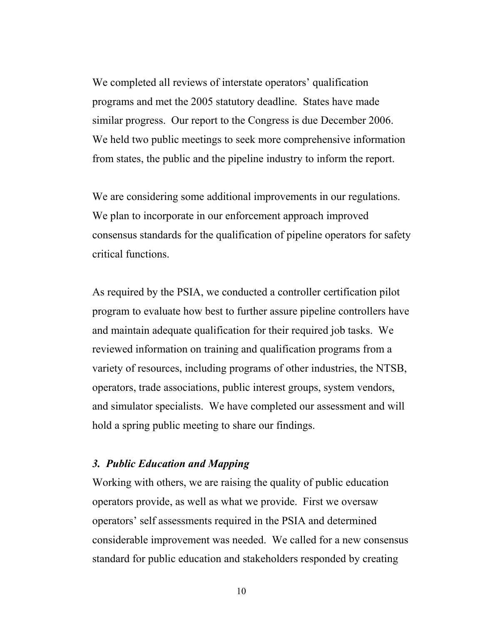We completed all reviews of interstate operators' qualification programs and met the 2005 statutory deadline. States have made similar progress. Our report to the Congress is due December 2006. We held two public meetings to seek more comprehensive information from states, the public and the pipeline industry to inform the report.

We are considering some additional improvements in our regulations. We plan to incorporate in our enforcement approach improved consensus standards for the qualification of pipeline operators for safety critical functions.

As required by the PSIA, we conducted a controller certification pilot program to evaluate how best to further assure pipeline controllers have and maintain adequate qualification for their required job tasks. We reviewed information on training and qualification programs from a variety of resources, including programs of other industries, the NTSB, operators, trade associations, public interest groups, system vendors, and simulator specialists. We have completed our assessment and will hold a spring public meeting to share our findings.

### *3. Public Education and Mapping*

Working with others, we are raising the quality of public education operators provide, as well as what we provide. First we oversaw operators' self assessments required in the PSIA and determined considerable improvement was needed. We called for a new consensus standard for public education and stakeholders responded by creating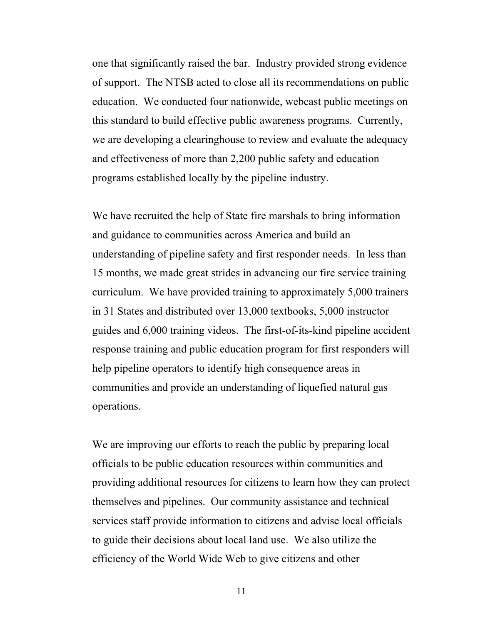one that significantly raised the bar. Industry provided strong evidence of support. The NTSB acted to close all its recommendations on public education. We conducted four nationwide, webcast public meetings on this standard to build effective public awareness programs. Currently, we are developing a clearinghouse to review and evaluate the adequacy and effectiveness of more than 2,200 public safety and education programs established locally by the pipeline industry.

We have recruited the help of State fire marshals to bring information and guidance to communities across America and build an understanding of pipeline safety and first responder needs. In less than 15 months, we made great strides in advancing our fire service training curriculum. We have provided training to approximately 5,000 trainers in 31 States and distributed over 13,000 textbooks, 5,000 instructor guides and 6,000 training videos. The first-of-its-kind pipeline accident response training and public education program for first responders will help pipeline operators to identify high consequence areas in communities and provide an understanding of liquefied natural gas operations.

We are improving our efforts to reach the public by preparing local officials to be public education resources within communities and providing additional resources for citizens to learn how they can protect themselves and pipelines. Our community assistance and technical services staff provide information to citizens and advise local officials to guide their decisions about local land use. We also utilize the efficiency of the World Wide Web to give citizens and other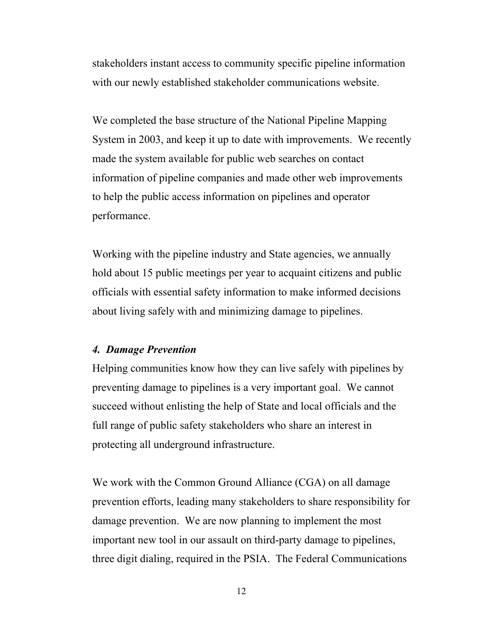stakeholders instant access to community specific pipeline information with our newly established stakeholder communications website.

We completed the base structure of the National Pipeline Mapping System in 2003, and keep it up to date with improvements. We recently made the system available for public web searches on contact information of pipeline companies and made other web improvements to help the public access information on pipelines and operator performance.

Working with the pipeline industry and State agencies, we annually hold about 15 public meetings per year to acquaint citizens and public officials with essential safety information to make informed decisions about living safely with and minimizing damage to pipelines.

## *4. Damage Prevention*

Helping communities know how they can live safely with pipelines by preventing damage to pipelines is a very important goal. We cannot succeed without enlisting the help of State and local officials and the full range of public safety stakeholders who share an interest in protecting all underground infrastructure.

We work with the Common Ground Alliance (CGA) on all damage prevention efforts, leading many stakeholders to share responsibility for damage prevention. We are now planning to implement the most important new tool in our assault on third-party damage to pipelines, three digit dialing, required in the PSIA. The Federal Communications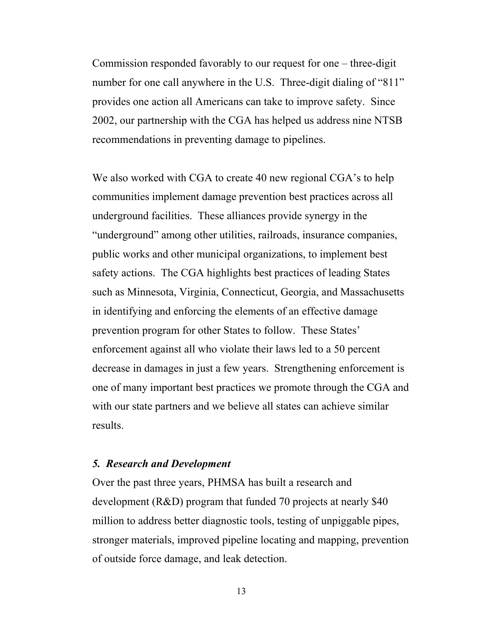Commission responded favorably to our request for one – three-digit number for one call anywhere in the U.S. Three-digit dialing of "811" provides one action all Americans can take to improve safety. Since 2002, our partnership with the CGA has helped us address nine NTSB recommendations in preventing damage to pipelines.

We also worked with CGA to create 40 new regional CGA's to help communities implement damage prevention best practices across all underground facilities. These alliances provide synergy in the "underground" among other utilities, railroads, insurance companies, public works and other municipal organizations, to implement best safety actions. The CGA highlights best practices of leading States such as Minnesota, Virginia, Connecticut, Georgia, and Massachusetts in identifying and enforcing the elements of an effective damage prevention program for other States to follow. These States' enforcement against all who violate their laws led to a 50 percent decrease in damages in just a few years. Strengthening enforcement is one of many important best practices we promote through the CGA and with our state partners and we believe all states can achieve similar results.

#### *5. Research and Development*

Over the past three years, PHMSA has built a research and development (R&D) program that funded 70 projects at nearly \$40 million to address better diagnostic tools, testing of unpiggable pipes, stronger materials, improved pipeline locating and mapping, prevention of outside force damage, and leak detection.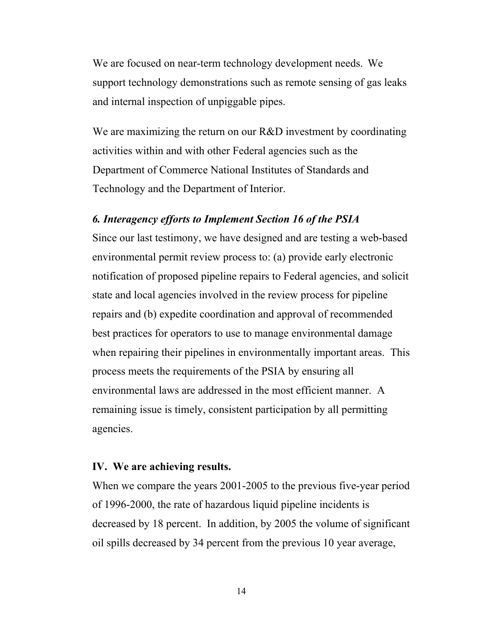We are focused on near-term technology development needs. We support technology demonstrations such as remote sensing of gas leaks and internal inspection of unpiggable pipes.

We are maximizing the return on our R&D investment by coordinating activities within and with other Federal agencies such as the Department of Commerce National Institutes of Standards and Technology and the Department of Interior.

### *6. Interagency efforts to Implement Section 16 of the PSIA*

Since our last testimony, we have designed and are testing a web-based environmental permit review process to: (a) provide early electronic notification of proposed pipeline repairs to Federal agencies, and solicit state and local agencies involved in the review process for pipeline repairs and (b) expedite coordination and approval of recommended best practices for operators to use to manage environmental damage when repairing their pipelines in environmentally important areas. This process meets the requirements of the PSIA by ensuring all environmental laws are addressed in the most efficient manner. A remaining issue is timely, consistent participation by all permitting agencies.

#### **IV. We are achieving results.**

When we compare the years 2001-2005 to the previous five-year period of 1996-2000, the rate of hazardous liquid pipeline incidents is decreased by 18 percent. In addition, by 2005 the volume of significant oil spills decreased by 34 percent from the previous 10 year average,